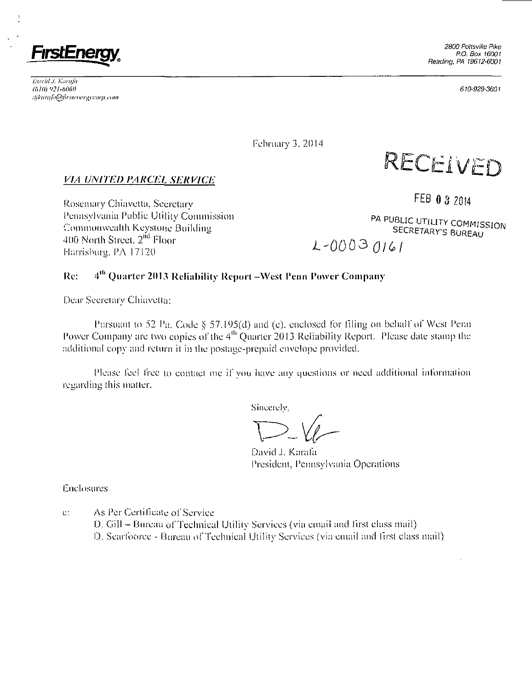

**David J. Kurafa**  $(610)$  V21-6060  $610$ 

February 3, 2014

**RECEi\** 

#### *VIA UNITED PARCEL SERVICE*

Rosemary Chiavetta, Secretary Pennsylvania Public Utility Commission Commonwealth Keystone Building 400 North Street, 2''" Floor l-lamsburg. PA 17120

FEB 0 3 2014

SECRETAOVA DUMINISSION SECRETARY'S BUREAU

## Re:  $4<sup>th</sup>$  Quarter 2013 Reliability Report-West Penn Power Company

Dear Secretary Chiavetla:

Pursuant to 52 Pa. Code § 57.195(d) and (c), enclosed for filing on behalf of West Penn Power Company are two copies of the 4"" Quarter 2013 Reliability Report. Please date stamp the additional copy and return il in the postage-prepaid envelope provided.

Please feel free to contact me if you have any questions or need additional informalion regarding this matter.

Sincerely.

David J. Karafa President. Pennsylvania Operations

Enclosures

c: As Per Certificate of Service

0. Gill — Bureau of Technical Utility Services (via email and tlrst class mail)

D. Searfoorce - Bureau of Technical Utility Services (via email and first class mail)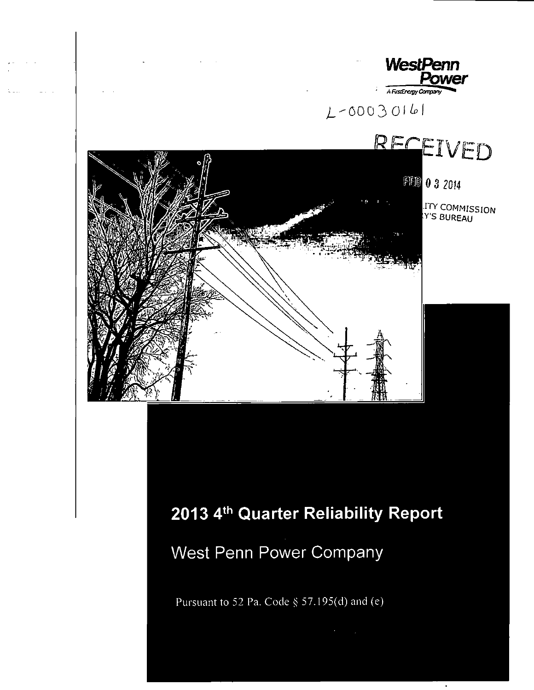

# **2013 4<sup>t</sup> <sup>h</sup> Quarter Reliability Report**

West Penn Power Company

Pursuant to 52 Pa. Code § 57.195(d) and (e)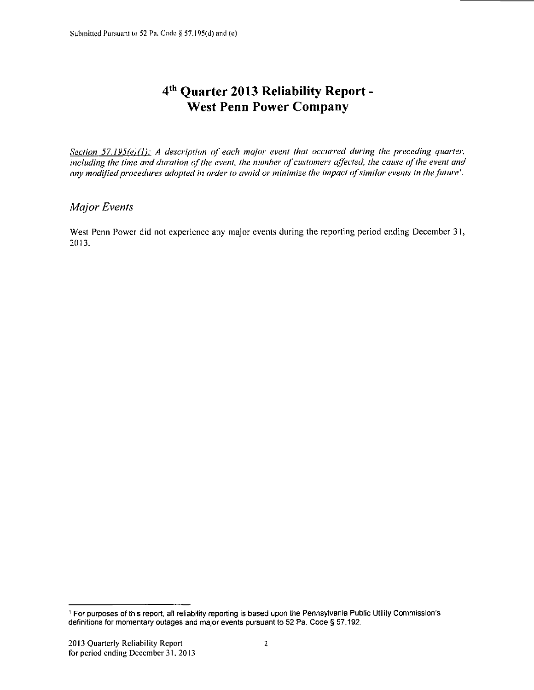## **4 th Quarter 2013 Reliability Report - West Penn Power Company**

*Section 57.195(e)(1): A description of each major event that occurred during the preceding quarter, including the time and duration of (he event, fhe number of customers affected, (he cause of the event and any modified procedures adopted in order to avoid or minimize the impact of similar events in (he future'.* 

#### *Major Events*

West Penn Power did not experience any major events during the reporting period ending December 31, 2013.

<sup>1</sup> For purposes of this report, all reliability reporting is based upon the Pennsylvania Public Utility Commission's definitions for momentary outages and major events pursuant to 52 Pa. Code § 57.192.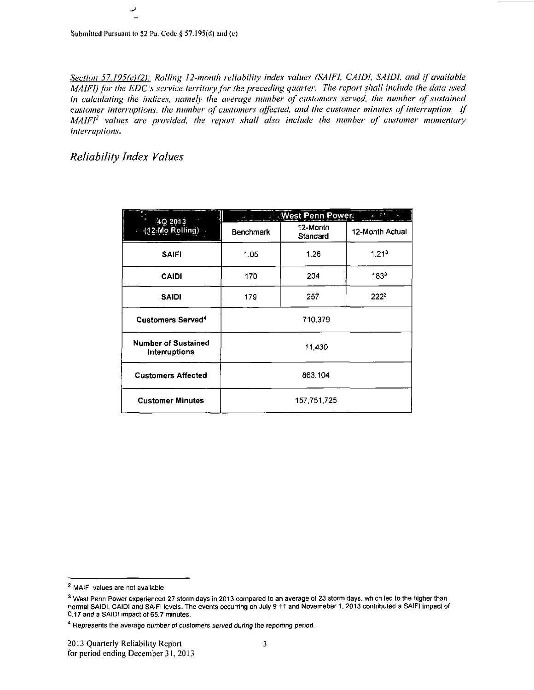*Section 57.195(e)(2): Rolling 12-month reliability index values (SAIFI. CAIDI, SAIDI. and if available MAIFI) for the EDC's service territory for the preceding quarter. The report shall include the data used in calculating the indices, namely the average number of customers served, the number of sustained customer interruptions, the number of customers affected, and the customer minutes of interruption. If MAIFI<sup>2</sup> values are provided, the report shall also include the number of customer momentary Interruptions.* 

*Reliability Index Values* 

| 4Q2013                                             |                  | West Penn Power      | لتنسي             |  |  |  |
|----------------------------------------------------|------------------|----------------------|-------------------|--|--|--|
| $(12 \text{ Mo}$ Rolling)                          | <b>Benchmark</b> | 12-Month<br>Standard | 12-Month Actual   |  |  |  |
| <b>SAIFI</b>                                       | 1.05             | 1.26                 | 1,21 <sup>3</sup> |  |  |  |
| <b>CAIDI</b>                                       | 170              | 204                  | $183^{3}$         |  |  |  |
| <b>SAIDI</b>                                       | 179              | 257                  | 2223              |  |  |  |
| <b>Customers Served<sup>4</sup></b>                |                  | 710,379              |                   |  |  |  |
| <b>Number of Sustained</b><br><b>Interruptions</b> | 11.430           |                      |                   |  |  |  |
| <b>Customers Affected</b>                          | 863.104          |                      |                   |  |  |  |
| <b>Customer Minutes</b>                            | 157 751 725      |                      |                   |  |  |  |

<sup>2</sup> MAIFI values are not available

 $^3$  West Penn Power experienced 27 storm days in 2013 compared to an average of 23 storm days, which led to the higher than normal SAIDI, CAIDI and SAIFI levels. The events occurring on July 9-11 and Novemeber 1, 2013 contributed a SAIFI impact of 0.17 and a SAIDI impact of 65.7 minutes.

<sup>4</sup> Represents the average number of customers served during the reporting period.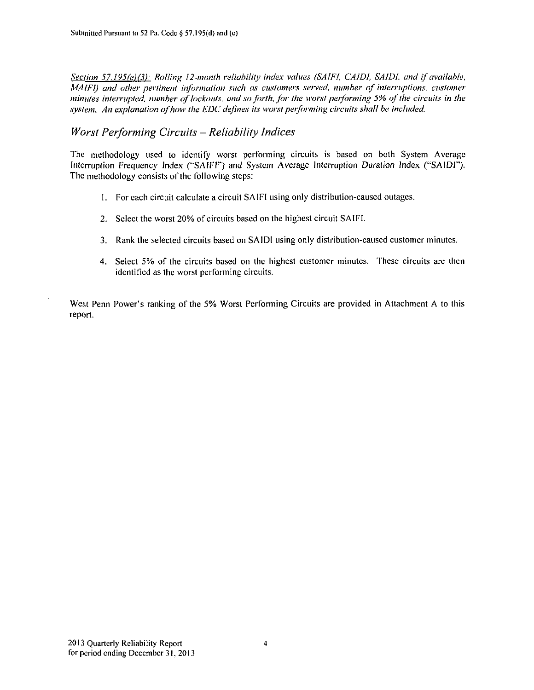Section 57.195(e)(3): Rolling 12-month reliability index values (SAIFI, CAIDI, SAIDI, and if available, MAIFI) and other pertinent information such as customers served, numher of interruptions, customer minutes interrupted, number of lockouts, and so forth, for the worst performing 5% of the circuits in the system. An explanation of how the EDC defines its worst performing circuits shall be included.

### Worst Performing Circuits - Reliability Indices

The methodology used to identify worst performing circuits is based on both System Average Interruption Frequency Index ('•SAIFI") and System Average Interruption Duration Index ("SAIDF'). The methodology consists of the following steps:

- 1. For each circuit calculate a circuit SAIFI using only distribution-caused outages.
- 2. Select the worst 20% of circuits based on the highest circuit SAIFI.
- 3. Rank the selected circuits based on SAIDI using only distribution-caused customer minutes.
- 4. Select 5% of the circuits based on the highest customer minutes. These circuits arc then identified as the worst performing circuits.

West Penn Power's ranking of the 5% Worst Performing Circuits are provided in Attachment A to this report.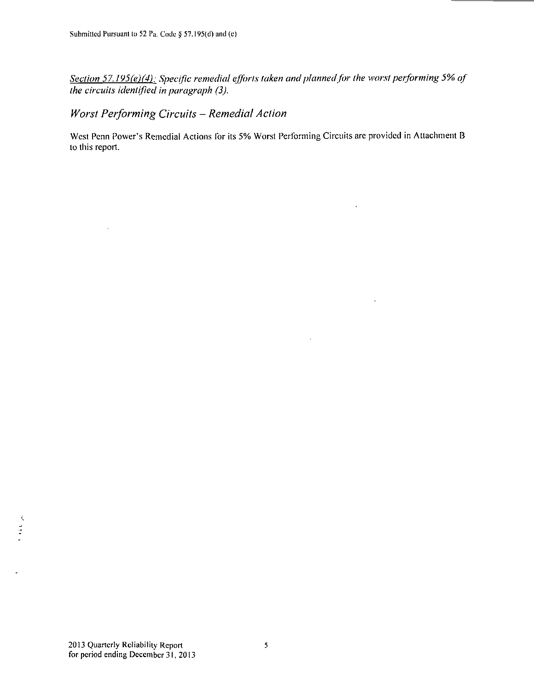*Section 57,195(e)(4)^ Specific remedial efforts taken and planned for the worst performing 5% of the circuits identified in paragraph (3).* 

*Worst Performing Circuits - Remedial Action* 

West Penn Power's Remedial Actions for its 5% Worst Performing Circuits are provided in Attachment B to this report.

医红细胞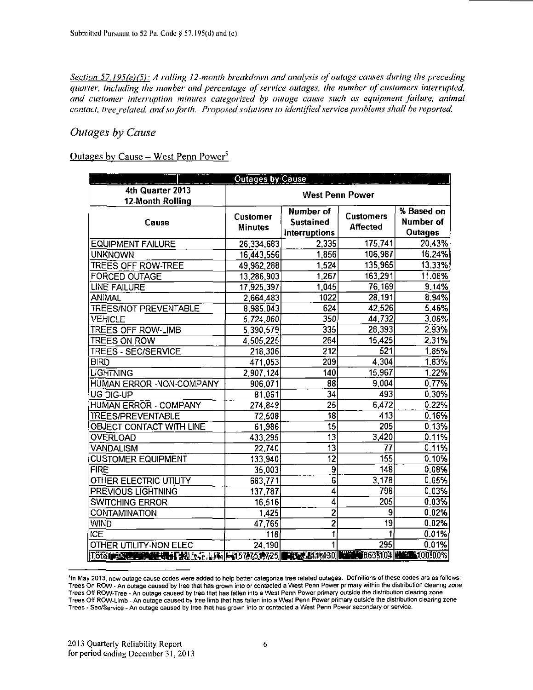*Section 57.195(e)(5): A rolling 12-month breakdown and analysis of outage causes during the preceding quarter, including the number and percentage of service outages, the number of customers interrupted, and customer interruption minutes categorized by outage cause such as equipment failure, animal contact, tree related, and so forth. Proposed solutions to identified service problems shall be reported.* 

### *Outages by Cause*

#### Outages by Cause - West Penn Power<sup>5</sup>

|                                                                                                                 | <b>Outages by Cause</b>           |                                                       |                                     |                                                  |
|-----------------------------------------------------------------------------------------------------------------|-----------------------------------|-------------------------------------------------------|-------------------------------------|--------------------------------------------------|
| 4th Quarter 2013                                                                                                |                                   |                                                       | <b>West Penn Power</b>              |                                                  |
| 12-Month Rolling                                                                                                |                                   |                                                       |                                     |                                                  |
| Cause                                                                                                           | <b>Customer</b><br><b>Minutes</b> | Number of<br><b>Sustained</b><br><b>Interruptions</b> | <b>Customers</b><br><b>Affected</b> | % Based on<br><b>Number of</b><br><b>Outages</b> |
| <b>EQUIPMENT FAILURE</b>                                                                                        | 26,334,683                        | 2,335                                                 | 175,741                             | 20.43%                                           |
| <b>UNKNOWN</b>                                                                                                  | 16,443,556                        | 1,856                                                 | 106,987                             | 16.24%                                           |
| <b>TREES OFF ROW-TREE</b>                                                                                       | 49,962,288                        | 1,524                                                 | 135,965                             | 13.33%                                           |
| FORCED OUTAGE                                                                                                   | 13,286,903                        | 1,267                                                 | 163,291                             | 11.08%                                           |
| <b>LINE FAILURE</b>                                                                                             | 17,925,397                        | 1,045                                                 | 76,169                              | 9.14%                                            |
| ANIMAL                                                                                                          | 2,664,483                         | 1022                                                  | 28,191                              | 8.94%                                            |
| <b>TREES/NOT PREVENTABLE</b>                                                                                    | 8,985,043                         | 624                                                   | 42,526                              | 5.46%                                            |
| <b>VEHICLE</b>                                                                                                  | 5,724,060                         | 350                                                   | 44,732                              | 3.06%                                            |
| TREES OFF ROW-LIMB                                                                                              | 5,390,579                         | 335                                                   | 28,393                              | 2.93%                                            |
| TREES ON ROW                                                                                                    | 4,505,225                         | 264                                                   | 15,425                              | 2.31%                                            |
| <b>TREES - SEC/SERVICE</b>                                                                                      | 218,306                           | 212                                                   | 521                                 | 1.85%                                            |
| <b>BIRD</b>                                                                                                     | 471,053                           | 209                                                   | 4,304                               | 1.83%                                            |
| LIGHTNING                                                                                                       | 2,907,124                         | 140                                                   | 15,967                              | 1.22%                                            |
| HUMAN ERROR - NON-COMPANY                                                                                       | 906,071                           | 88                                                    | 9,004                               | 0.77%                                            |
| UG DIG-UP                                                                                                       | 81,061                            | 34                                                    | 493                                 | 0.30%                                            |
| HUMAN ERROR - COMPANY                                                                                           | 274,849                           | $\overline{25}$                                       | 6,472                               | 0.22%                                            |
| TREES/PREVENTABLE                                                                                               | 72,508                            | 18                                                    | 413                                 | 0.16%                                            |
| <b>OBJECT CONTACT WITH LINE</b>                                                                                 | 61,986                            | $\overline{15}$                                       | 205                                 | 0 13%                                            |
| overload                                                                                                        | 433,295                           | $\overline{13}$                                       | 3,420                               | 0.11%                                            |
| Vandalism                                                                                                       | 22,740                            | $\overline{13}$                                       | 77                                  | 0.11%                                            |
| <b>CUSTOMER EQUIPMENT</b>                                                                                       | 133,940                           | $\overline{12}$                                       | 155                                 | 0.10%                                            |
| <b>FIRE</b>                                                                                                     | 35,003                            | $\overline{9}$                                        | 148                                 | 0.08%                                            |
| <b>OTHER ELECTRIC UTILITY</b>                                                                                   | 683,771                           | $\overline{6}$                                        | 3,178                               | 0.05%                                            |
| PREVIOUS LIGHTNING                                                                                              | 137,787                           | 4                                                     | 798                                 | 0.03%                                            |
| <b>SWITCHING ERROR</b>                                                                                          | 16,516                            | $\overline{4}$                                        | 205                                 | 0.03%                                            |
| CONTAMINATION                                                                                                   | 1,425                             | $\overline{2}$                                        | 9                                   | 0.02%                                            |
| <b>WIND</b>                                                                                                     | 47,765                            | $\overline{2}$                                        | $\overline{19}$                     | 0.02%                                            |
| ICE                                                                                                             | 118                               | 1                                                     | 1                                   | 0.01%                                            |
| OTHER UTILITY-NON ELEC                                                                                          | 24,190                            |                                                       | 295                                 | 0.01%                                            |
| FIGER   THE TALL TO THE TABLE TO THE TALL TO THE TABLE TO THE TABLE TO THE TABLE TO THE TABLE TO THE TABLE TO T |                                   |                                                       |                                     |                                                  |

i ln May 2013, new outage cause codes were added to help better categorize tree related outages. Definitions of these codes are as follows: Trees On ROW - An outage caused by tree that has grown into or contacted a West Penn Power primary within the distribution clearing zone Trees Off ROW-Tree - An outage caused by tree that has fallen into a West Penn Power primary outside the distribution clearing zone Trees Off ROW-Limb - An outage caused by tree limb that has fallen into a West Penn Power primary outside the distribution clearing zone Trees - Sec/Service - An outage caused by tree that has grown into or contacted a West Penn Power secondary or service.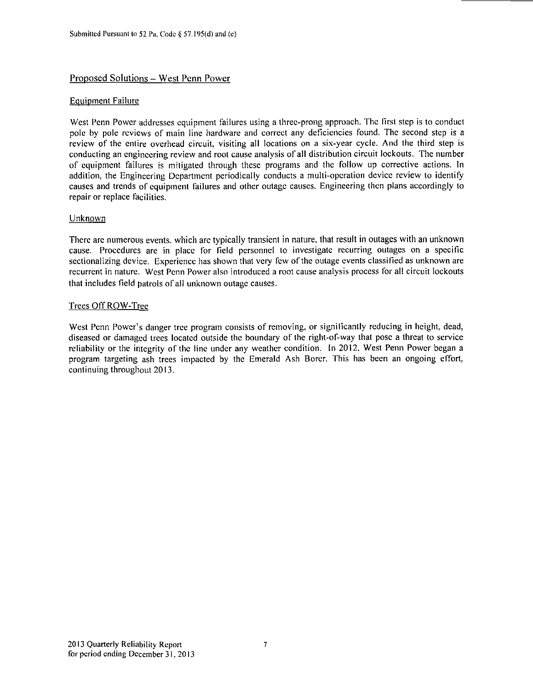#### Proposed Solutions - West Penn Power

#### Equipment Failure

West Penn Power addresses equipment failures using a three-prong approach. The first step is to conduct pole by pole reviews of main line hardware and correct any deficiencies found. The second step is a review of the entire overhead circuit, visiting all locations on a six-year cycle. And the third step is conducting an engineering review and root cause analysis of all distribution circuit lockouts. The number of equipment failures is mitigated through these programs and the follow up corrective actions. In addition, the Engineering Department periodically conducts a multi-operation device review to identify causes and trends of equipment failures and other outage causes. Engineering then plans accordingly to repair or replace facilities.

#### Unknown

There are numerous events, which are typically transient in nature, that result in outages with an unknown cause. Procedures are in place for field personnel lo investigate recurring outages on a specific sectionalizing device. Experience has shown that very few of the outage events classified as unknown are recurrent in nature. West Penn Power also introduced a root cause analysis process for all circuit lockouts that includes field patrols of all unknown outage causes.

#### Trees Off ROW-Tree

West Penn Power's danger tree program consists of removing, or significantly reducing in height, dead, diseased or damaged trees located outside the boundary of the right-of-way that pose a threat to service reliability or the integrity of the line under any weather condition. In 2012, West Penn Power began a program targeting ash trees impacted by the Emerald Ash Borer. This has been an ongoing effort, continuing throughout 2013.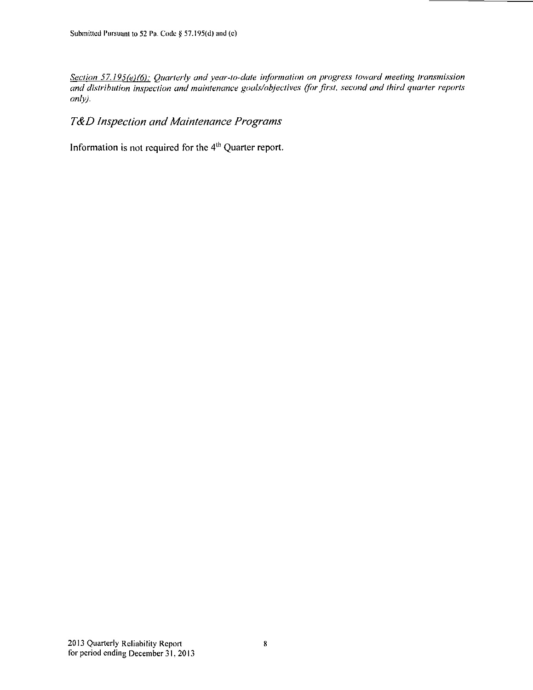Section 57.195(e)(6): Quarterly and year-to-date information on progress toward meeting transmission and distribution inspection and maintenance goals/objectives (for first, second and third quarter reports only).

## T&D Inspection and Maintenance Programs

Information is not required for the 4<sup>th</sup> Quarter report.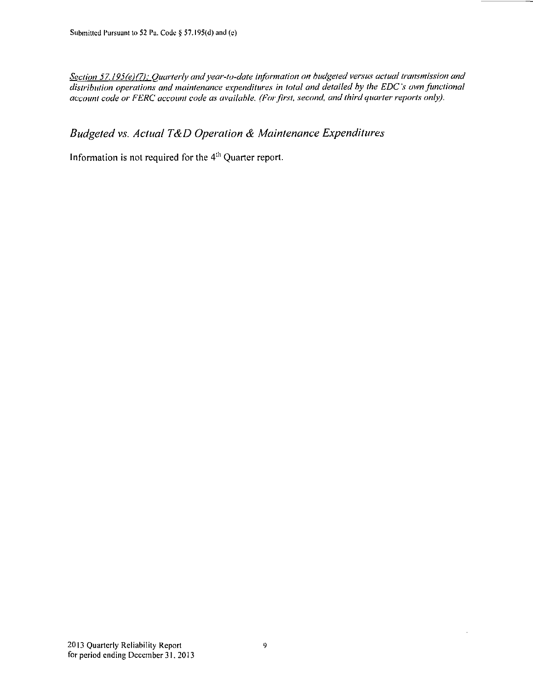*Section 57.195(e)(7): Quarterly and year-to-date information on budgeted versus actual transmission and distribution operations and maintenance expenditures in total and detailed hy the EDC's own functional account code or FERC account code as available. (For first, second, and third quarter reports only).* 

### Budgeted vs. Actual T&D Operation & Maintenance Expenditures

Information is not required for the 4<sup>th</sup> Quarter report.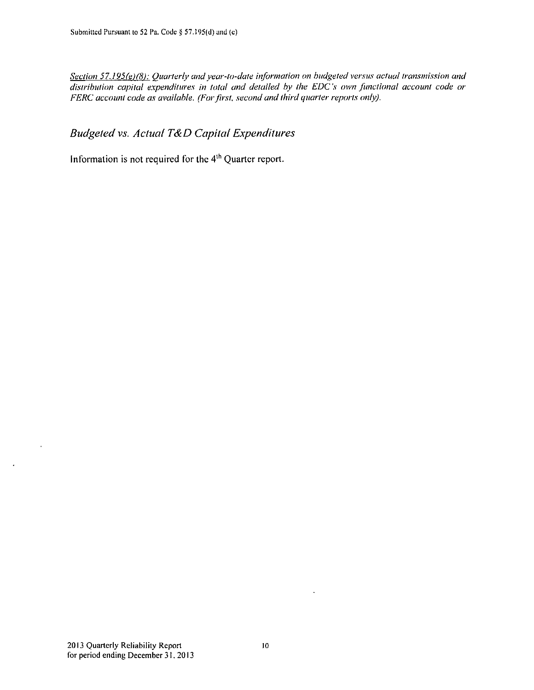*Sect ion 57.195(e)(8): Quarterly and year-to-date information on budgeted versus actual transmission and distribution capital expenditures in total and detailed by the EDC's own functional account code or FERC account code as available. (For first, second and third quarter reports only).* 

Budgeted vs. Actual T&D Capital Expenditures

Information is not required for the 4<sup>th</sup> Quarter report.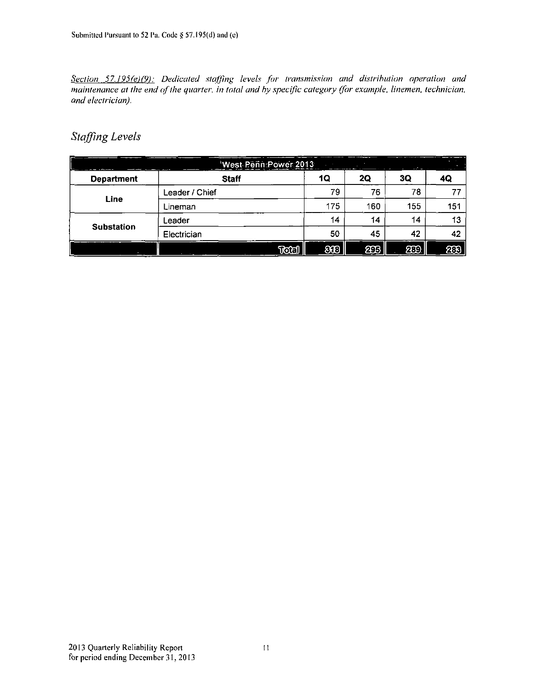*Section 57.195(e)(9): Dedicated staffing levels for transmission and distribution operation and maintenance at the end of the quarter, in total and by specific category (for example, linemen, technician, and electrician).* 

## *Staffing Levels*

| -------           | West Penn Power 2013<br>$\cdots$<br>the company's state of the company's state of the company's state of the company's |              |                |     |     |      |     |
|-------------------|------------------------------------------------------------------------------------------------------------------------|--------------|----------------|-----|-----|------|-----|
| <b>Department</b> |                                                                                                                        | <b>Staff</b> |                | 1Q  | 2Q  | 3Q   | 40  |
|                   | Leader / Chief                                                                                                         |              |                | 79  | 76  | 78   |     |
| Line              | Lineman                                                                                                                |              |                | 175 | 160 | 155  | 151 |
|                   | Leader                                                                                                                 |              |                | 14  | 14  | 14   | 13  |
| <b>Substation</b> | Electrician                                                                                                            |              |                | 50  | 45  | 42   | 42  |
|                   |                                                                                                                        |              | <b>II</b> Qtal | 318 | 295 | 21.O | 28  |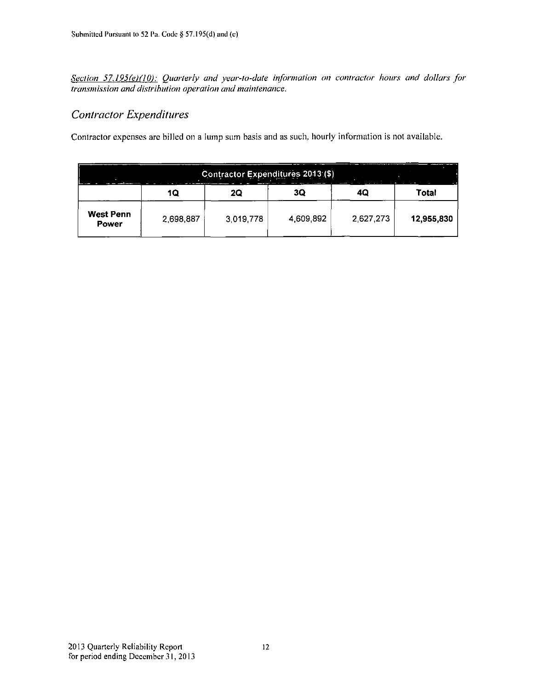Section 57.195(e)(10): Quarterly and year-to-date information on contractor hours and dollars for transmission and distribution operation and maintenance.

## *Contractor Expenditures*

Conlractor expenses are billed on a lump sum basis and as such, hourly information is not available.

|                           | Contractor Expenditures 2013 (\$) |           |           |           |            |  |  |  |  |  |
|---------------------------|-----------------------------------|-----------|-----------|-----------|------------|--|--|--|--|--|
|                           | 1Q                                | 2Q        | 3Q        | 4Q        | Total      |  |  |  |  |  |
| <b>West Penn</b><br>Power | 2,698,887                         | 3 019 778 | 4 609 892 | 2 627 273 | 12,955,830 |  |  |  |  |  |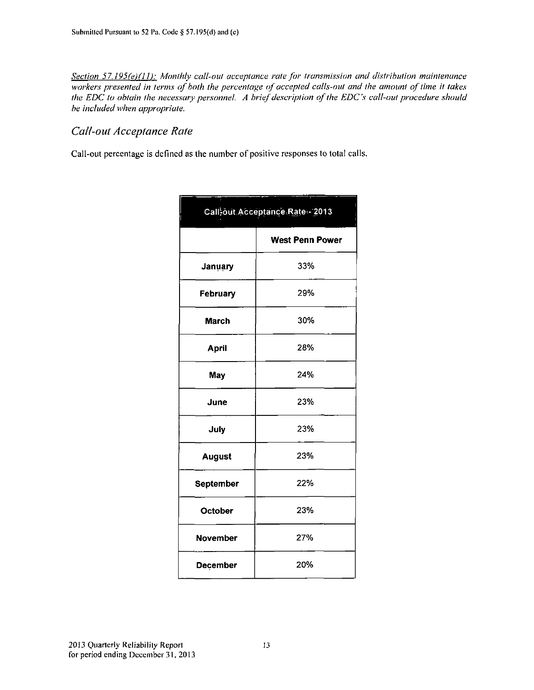Section 57.195 $(e)(11)$ : Monthly call-out acceptance rate for transmission and distribution maintenance workers presented in terms of both the percentage of accepted calls-out and the amount of time it takes the EDC to obtain the necessary personnel. A brief description of the EDC's call-out procedure should be included when appropriate.

### *Call-out Acceptance Rate*

Call-out percentage is defined as the number of positive responses to total calls.

|                 | Call-out Acceptance Rate - 2013 |
|-----------------|---------------------------------|
|                 | <b>West Penn Power</b>          |
| January         | 33%                             |
| February        | 29%                             |
| <b>March</b>    | 30%                             |
| April           | 28%                             |
| May             | 24%                             |
| June            | 23%                             |
| July            | 23%                             |
| August          | 23%                             |
| September       | 22%                             |
| October         | 23%                             |
| <b>November</b> | 27%                             |
| <b>December</b> | 20%                             |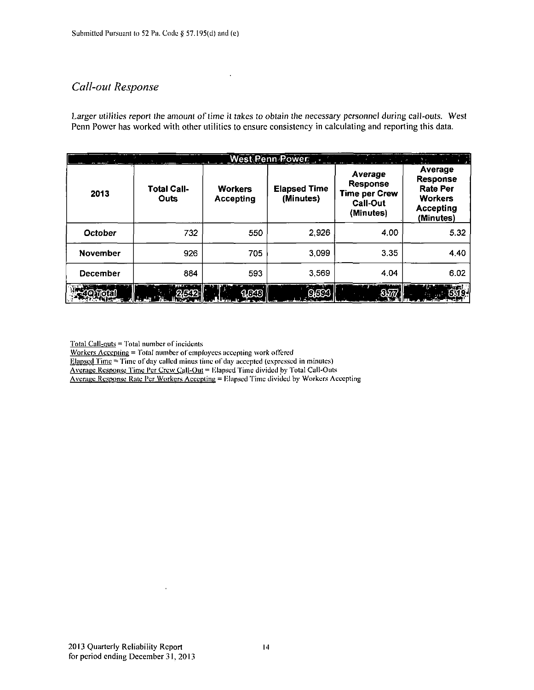## *Call-out Response*

Larger utilities report the amount of time it takes to obtain the necessary personnel during call-outs. West Penn Power has worked with other utilities to ensure consistency in calculating and reporting this data.

 $\ddot{\phantom{0}}$ 

|                 |                            |                                    | <b>West Penn Power</b>           |                                                                                    |                                                                                           |
|-----------------|----------------------------|------------------------------------|----------------------------------|------------------------------------------------------------------------------------|-------------------------------------------------------------------------------------------|
| 2013            | <b>Total Call-</b><br>Outs | <b>Workers</b><br><b>Accepting</b> | <b>Elapsed Time</b><br>(Minutes) | Average<br><b>Response</b><br><b>Time per Crew</b><br><b>Call-Out</b><br>(Minutes) | Average<br><b>Response</b><br><b>Rate Per</b><br><b>Workers</b><br>Accepting<br>(Minutes) |
| <b>October</b>  | 732                        | 550                                | 2.926                            | 4.00                                                                               | 5.32                                                                                      |
| <b>November</b> | 926                        | 705                                | 3.099                            | 3.35                                                                               | 4.40                                                                                      |
| <b>December</b> | 884                        | 593                                | 3.569                            | 4.04                                                                               | 6.02                                                                                      |
|                 |                            | UCCO                               |                                  |                                                                                    |                                                                                           |

Total Call-outs = Total number of incidents

Workers Accepting = Total number of employees accepting work offered

Elapsed Time  $=$  Time of day called minus time of day accepted (expressed in minutes)

Average Response Time Per Crew Call-Out = Elapsed Time divided by Total Call-Outs

Average Response Rate Per Workers Accepting = Elapsed Time divided by Workers Accepting

÷,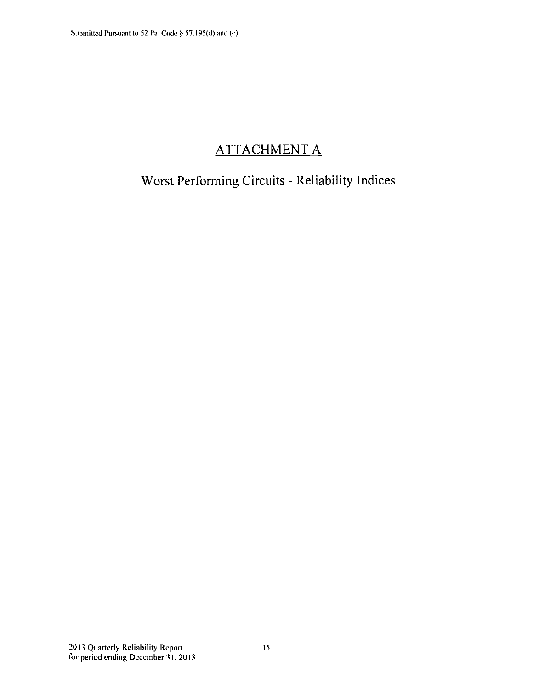$\mathcal{A}^{\mathcal{A}}$ 

## **ATTACHMENT A**

# **Worst Performing Circuits - Reliability Indices**

 $\ddot{\phantom{a}}$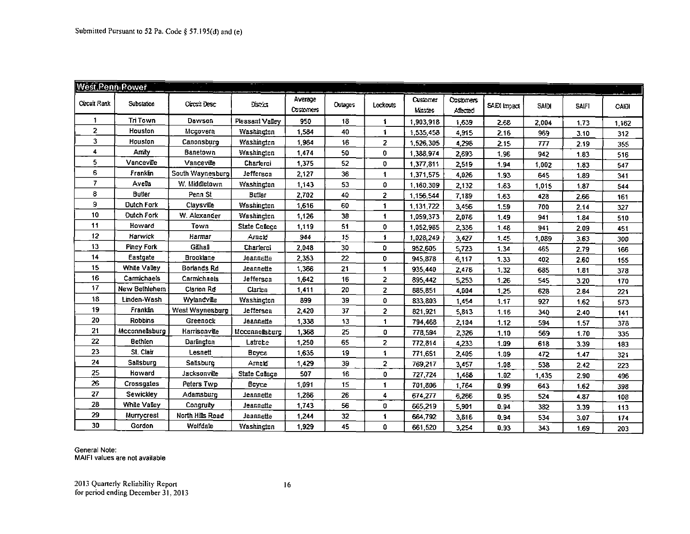| West Penn Power |                   |                  |                    |                      |         |                         |                   |                              |             |              |              |              |
|-----------------|-------------------|------------------|--------------------|----------------------|---------|-------------------------|-------------------|------------------------------|-------------|--------------|--------------|--------------|
| Circuit Rank    | Substation        | Circui Desc      | Distin             | Average<br>Customers | Outages | Lockouts                | Customer<br>Mayes | <b>Costomers</b><br>Affected | SADI Impact | <b>SAIDI</b> | <b>SAITI</b> | <b>CAIDI</b> |
| 1               | <b>Tri Town</b>   | Dawson           | Pleasant Valley    | 950                  | 18      | 1                       | 1,903,918         | 1.639                        | 2.53        | 2,004        | 1.73         | 1,162        |
| $\overline{2}$  | Houston           | Mcgovern         | Veasnington        | 1.584                | 40      | 1                       | 1,535,458         | 4.915                        | 2.16        | 969          | 3.10         | 312          |
| 3               | Houston           | Canonsburg       | Washington         | 1.964                | 16      | 2                       | 1,526,305         | 4295                         | 215         | 777          | 2.19         | 355          |
| 4               | Amity             | Banetown         | Washington         | 1.474                | 50      | $\bf{0}$                | 1,388,974         | 2.693                        | 1.96        | 942          | 1.83         | 516          |
| 5               | Vanceville        | Vanceville       | Charleroi          | 1,375                | 52      | 0                       | 1,377,811         | 2,519                        | 1.94        | 1.002        | 1.83         | 547          |
| 6               | Franklin          | South Waynesburg | Jefferson          | 2,127                | 36      | 1                       | 1,371,575         | 4 0 2 5                      | 1.93        | 645          | 1.89         | 341          |
| $\overline{7}$  | Avella            | W. Middletown    | <b>V</b> eshington | 1.143                | 53      | 0                       | 1,160,309         | 2,132                        | 1.E3        | 1,015        | 1.87         | 544          |
| 8               | <b>Butter</b>     | Penn St          | <b>Butler</b>      | 2,702                | 40      | $\overline{2}$          | 1.156,544         | 7.189                        | 1.63        | 428          | 2.66         | 161          |
| 9               | <b>Dutch Fork</b> | Claysville       | <b>Washington</b>  | 1,616                | 60      | $\mathbf{1}$            | 1,131,722         | 3,456                        | 1.59        | 700          | 2.14         | 327          |
| 10              | <b>Dutch Fork</b> | W. Alexander     | Washington         | 1.126                | 38      | 1                       | 1,059,373         | 2,075                        | 1.49        | 941          | 1.84         | 510          |
| 11              | Howard            | Town             | State College      | 1.119                | 51      | 0                       | 1.052.985         | 2.336                        | 1.48        | 941          | 2.09         | 451          |
| 12              | Harwick           | Harmar           | Amer               | 944                  | 15      | $\overline{\mathbf{1}}$ | 1,028,249         | 3.427                        | 1.45        | 1.089        | 3.63         | 300          |
| 13              | <b>Piney Fork</b> | Gilhall          | Charleroi          | 2.048                | 30      | 0                       | 952,605           | 5723                         | 1.34        | 465          | 2.79         | 166          |
| 14              | Eastgate          | Brooklane        | Jeannette          | 2 3 5 3              | 22      | 0                       | 945,878           | 6,117                        | 1.33        | 402          | 2.60         | 155          |
| 15              | White Valley      | Borlands Rd      | Jeannette          | 1,366                | 21      | -1                      | 935,440           | 2.478                        | 1.32        | 685          | 1.81         | 378          |
| 16              | Carmichaels       | Carmichaels      | Jefferson          | 1.642                | 16      | $\overline{2}$          | 895,442           | 5.253                        | 1.26        | 545          | 3.20         | 170          |
| 17              | New Bethlehem     | Clarion Ro       | Claricn            | 1411                 | 20      | 2                       | 885,851           | 4,004                        | 1.25        | 628          | 2.84         | 221          |
| 13              | Linden Wash       | Wylandville      | <b>Washington</b>  | 899                  | 39      | 0                       | 833,803           | 1,454                        | 1.17        | 927          | 1.62         | 573          |
| 19              | Franklin          | West Waynesburg  | Jefferson          | 2,420                | 37      | 2                       | 821,921           | 5.813                        | 1.16        | 340          | 2.40         | 141          |
| 20              | Robbins           | Greenock         | Jeannette          | 1338                 | 13      | 1                       | 794,468           | 2,104                        | 1.12        | 594          | 1.57         | 378          |
| 21              | Mcconnellsburg    | Harrisonville    | Mcccanelscurg      | 1,368                | 25      | 0                       | 778,594           | 2.326                        | 1.10        | 569          | 1.70         | 335          |
| 22              | Bethlen           | Darlington       | Latrobe            | 1.250                | 65      | 2                       | 772,814           | 4.233                        | 1.09        | 618          | 3.39         | 183          |
| 23              | St. Clair         | Lesnett          | Boyce              | 1.635                | 19      | 1                       | 771,651           | 2,405                        | 1.09        | 472          | 1.47         | 321          |
| 24              | Saltsburg         | Saltsburg        | Amelf              | 1.429                | 39      | 2                       | 769,217           | 3,457                        | 1.08        | 538          | 2.42         | 223          |
| 25              | Howard            | Jacksonville     | State College      | 507                  | 16      | 0                       | 727,724           | 1,458                        | 1.02        | 1.435        | 2.90         | 496          |
| 26              | Crossgates        | Peters Twp       | Boyce              | 1.091                | 15      | 1                       | 701,806           | 1,764                        | 0.99        | 643          | 1.62         | 398          |
| 27              | Sewickley         | Adamsburg        | Jeannette          | 1.286                | 26      | 4                       | 674,277           | 5,256                        | 0.95        | 524          | 4,87         | 108          |
| 28              | White Valley      | Congruity        | Jeannette          | 1.743                | 56      | 0                       | 665,219           | 5.901                        | 0.94        | 382          | 3.39         | 113          |
| 29              | Murrycrest        | North Hills Road | Jeannette          | 1,244                | 32      | 1                       | 664,792           | 3.815                        | 0.94        | 534          | 3.07         | 174          |
| 30              | Gordon            | Wolfdale         | <b>V</b> ashington | 1.929                | 45      | 0                       | 661,520           | 3.254                        | 0.93        | 343          | 1.69         | 203          |

General Note: MAIFI values are not available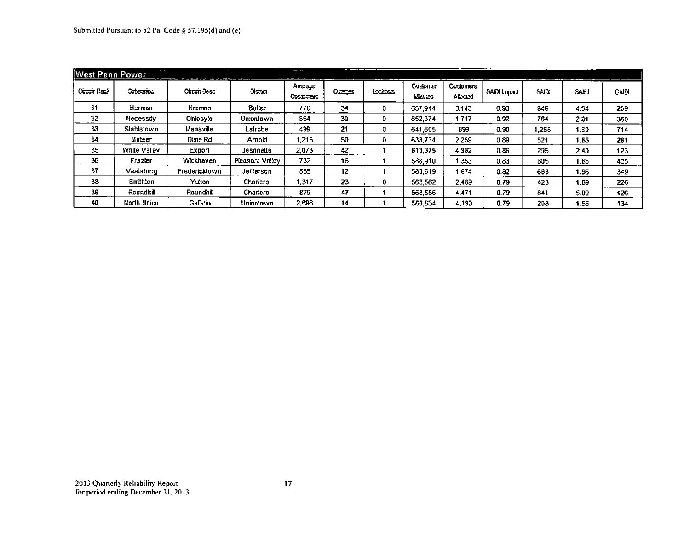| <b>West Penn Power</b> |                  |                 | --                     |                            |       |          |                     |                              |              |       |       |       |
|------------------------|------------------|-----------------|------------------------|----------------------------|-------|----------|---------------------|------------------------------|--------------|-------|-------|-------|
| <b>Circui Rank</b>     | Substance.       | Circuit Desc    | District               | Average<br><b>Ossomers</b> | 0.338 | Lockecis | Customer<br>Minutes | <b>Customers</b><br>Affected | SAIDI Impact | SAIDI | SAF1  | CAIDI |
| 31                     | Herman           | Herman          | Butler                 | 778.                       | 34    | 0        | 657.944             | 3.143                        | 0.93         | 846   | 4.04  | 209   |
| 32                     | <b>Necessity</b> | <b>Ohiopyle</b> | Uniontown              | 854                        | 30    | n.       | 652,374             | 1.717                        | 0.92         | 764   | 2.01  | 380   |
| 33                     | Stanistown       | Mansville       | Latrobe                | 499                        | 21    |          | 641,605             | 899                          | 0.90         | .286  | 1.80  | 714   |
| 34                     | Mateer           | Dime Rd         | Arnold                 | 1.215                      | 50    | o        | 633,734             | 2.259                        | 0.89         | 521   | 1.BE  | 281   |
| 35.                    | White Valley     | Export          | Jeannette              | 2.078                      | 42    |          | 613,375             | 4982                         | 0.86         | 295   | 2.40  | 123   |
| 36                     | Frazier          | Wickhaven       | <b>Pleasant Valley</b> | 732                        | 16    |          | 588.910             | .353                         | 0.83         | 805   | 1.85. | 435   |
| 37                     | Vestaburo        | Fredericktown   | Jefferson              | 855.                       | 12    |          | 583,819             | 1,674                        | 0.82         | 683   | 1.95  | 349   |
| 38                     | Smithton         | Yukon           | Charleroi              | 1.317                      | 23    | o        | 563,562             | 2.489                        | 0.79         | 428   | 1.89  | 226   |
| 39                     | Roundhill        | Roundhill       | Charleroi              | 879                        | 47    |          | 563,556             | 4,471                        | 0.79         | 641   | 5.09  | 126   |
| 40                     | North Union      | Gallatin        | Uniontown              | 2.696                      | 14    |          | 560.634             | 4.190                        | 0.79         | 208   | 1.55  | 134   |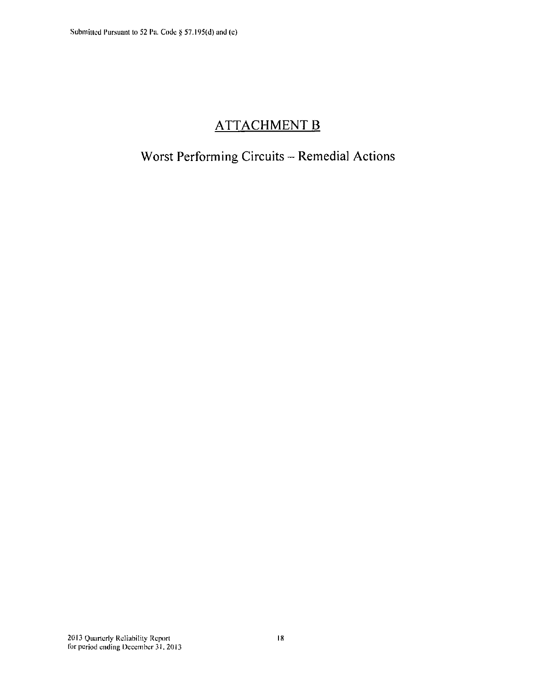# **ATTACHMENT B**

# **Worst Performing Circuits - Remedial Actions**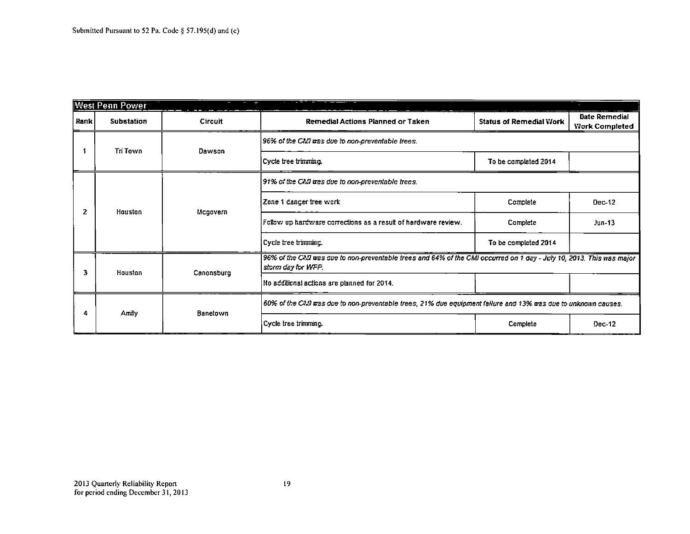|      | <b>West Penn Power</b> |                |                                                                                                                                            |                                |                                        |  |  |  |
|------|------------------------|----------------|--------------------------------------------------------------------------------------------------------------------------------------------|--------------------------------|----------------------------------------|--|--|--|
| Rank | <b>Substation</b>      | <b>Circuit</b> | Remedial Actions Planned or Taken                                                                                                          | <b>Status of Remedial Work</b> | Date Remedial<br><b>Work Completed</b> |  |  |  |
|      | <b>Tri Town</b>        | Dawson         | 96% of the CMI was due to non-preventable trees.                                                                                           |                                |                                        |  |  |  |
|      |                        |                | Cycle tree trimmino.                                                                                                                       | To be completed 2014           |                                        |  |  |  |
|      |                        | Mcgovern       | 91% of the CMI was due to non-preventable trees.                                                                                           |                                |                                        |  |  |  |
| 2    | Houston                |                | Zone 1 danger tree work                                                                                                                    | Complete                       | $Dec-12$                               |  |  |  |
|      |                        |                | Follow up hardware corrections as a result of hardware review.                                                                             | Complete                       | Jun-13                                 |  |  |  |
|      |                        |                | Cycle tree trumming.                                                                                                                       | To be completed 2014           |                                        |  |  |  |
| 3    | Houston                | Canonsburg     | 96% of the CMI was due to non-preventable trees and 64% of the CMI occurred on 1 day - July 10, 2013. This was major<br>storm day for WFP. |                                |                                        |  |  |  |
|      |                        |                | No additional actions are planned for 2014.                                                                                                |                                |                                        |  |  |  |
| 4    |                        |                | 60% of the CMI was due to non-preventable trees, 21% due equipment failure and 13% was due to unknown causes.                              |                                |                                        |  |  |  |
|      | Amity                  | Banetown       | Cycle tree trimming.                                                                                                                       | Complete                       | Dec-12                                 |  |  |  |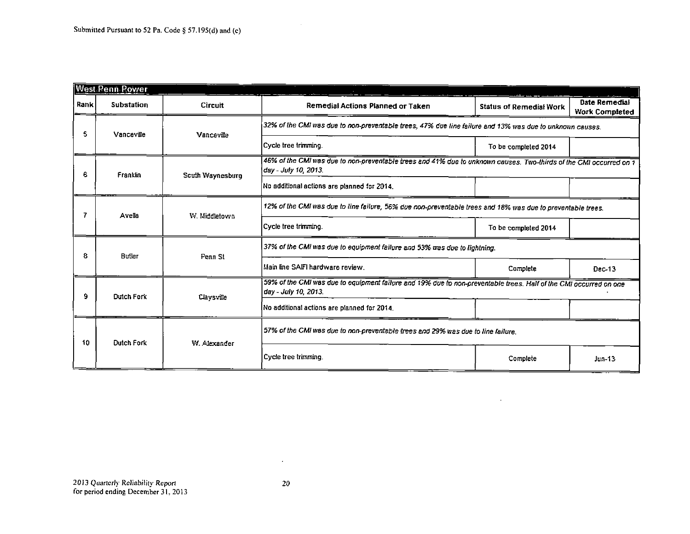<u> 1990 - Johann Barbara, martin a</u>

|             | <b>West Penn Power</b> |                  |                                                                                                                                           |                                                                                                                    |                                        |  |  |  |  |
|-------------|------------------------|------------------|-------------------------------------------------------------------------------------------------------------------------------------------|--------------------------------------------------------------------------------------------------------------------|----------------------------------------|--|--|--|--|
| <b>Rank</b> | Substation             | <b>Circuit</b>   | Remedial Actions Planned or Taken                                                                                                         | <b>Status of Remedial Work</b>                                                                                     | Date Remedial<br><b>Work Completed</b> |  |  |  |  |
| S.          | Vanceville             | Vanceville       | 32% of the CMI was due to non-preventable trees, 47% due line failure and 13% was due to unknown causes.                                  |                                                                                                                    |                                        |  |  |  |  |
|             |                        |                  | Cycle tree trimming.                                                                                                                      | To be completed 2014                                                                                               |                                        |  |  |  |  |
| 6           | Franklin               | Scuth Waynesburg | day - July 10, 2013.                                                                                                                      | 46% of the CMI was due to non-preventable trees and 41% due to unknown causes. Two-thirds of the CMI occurred on 1 |                                        |  |  |  |  |
|             |                        |                  | No additional actions are planned for 2014.                                                                                               |                                                                                                                    |                                        |  |  |  |  |
| 7           | Avella                 | W. Middletown    | 12% of the CMI was due to line failure, 56% due non-preventable trees and 18% was due to preventable trees.                               |                                                                                                                    |                                        |  |  |  |  |
|             |                        |                  | Cycle tree trimming.                                                                                                                      | To be completed 2014                                                                                               |                                        |  |  |  |  |
| 8           | Butler                 | Penn St          | 37% of the CMI was due to equipment failure and 53% was due to lightning.                                                                 |                                                                                                                    |                                        |  |  |  |  |
|             |                        |                  | Main line SAIFI hardware review.                                                                                                          | Complete                                                                                                           | $Dec-13$                               |  |  |  |  |
| 9           | <b>Dutch Fork</b>      | Claysville       | 59% of the CMI was due to equipment failure and 19% due to non-preventable trees. Half of the CMI occurred on one<br>day - July 10, 2013. |                                                                                                                    |                                        |  |  |  |  |
|             |                        |                  | No additional actions are planned for 2014.                                                                                               |                                                                                                                    |                                        |  |  |  |  |
| 10          | <b>Dutch Fork</b>      | W. Alexander     | 57% of the CMI was due to non-preventable trees and 29% was due to line failure.                                                          |                                                                                                                    |                                        |  |  |  |  |
|             |                        |                  | Cycle tree trimming.                                                                                                                      | Complete                                                                                                           | $Jun-13$                               |  |  |  |  |

 $\sim$ 

 $\sim$ 

 $\mathcal{A}^{\pm}$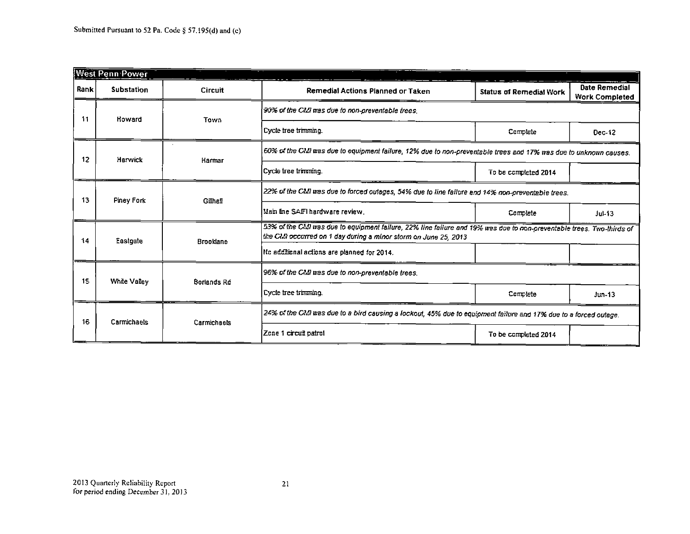|      | <b>West Penn Power</b> |                  |                                                                                                                                                                                          |                                |                                        |  |  |  |
|------|------------------------|------------------|------------------------------------------------------------------------------------------------------------------------------------------------------------------------------------------|--------------------------------|----------------------------------------|--|--|--|
| Rank | <b>Substation</b>      | <b>Circuit</b>   | Remedial Actions Planned or Taken                                                                                                                                                        | <b>Status of Remedial Work</b> | Date Remedial<br><b>Work Completed</b> |  |  |  |
| -11  | Howard                 | Town             | 90% of the CMI was due to non-preventable trees.                                                                                                                                         |                                |                                        |  |  |  |
|      |                        |                  | Cycle tree trimming.                                                                                                                                                                     | Complete                       | $Dec-12$                               |  |  |  |
| 12   | Harwick                | Harmar           | 60% of the CMI was due to equipment failure, 12% due to non-preventable trees and 17% was due to unknown causes.                                                                         |                                |                                        |  |  |  |
|      |                        |                  | Cycle tree trimming.                                                                                                                                                                     | To be completed 2014           |                                        |  |  |  |
| 13   | <b>Piney Fork</b>      | Gilhall          | 22% of the CMI was due to forced outages, 54% due to line failure and 14% non-preventable trees.                                                                                         |                                |                                        |  |  |  |
|      |                        |                  | Main fine SAIFI hardware review.                                                                                                                                                         | Complete                       | JuL13                                  |  |  |  |
| -14  | Eastgate               | <b>Brooklane</b> | 53% of the CMI was due to equipment failure, 22% line failure and 19% was due to non-preventable trees. Two-thirds of<br>the CMI occurred on 1 day during a minor storm on June 25, 2013 |                                |                                        |  |  |  |
|      |                        |                  | No additional actions are planned for 2014.                                                                                                                                              |                                |                                        |  |  |  |
| 15   | White Valley           | Borlands Ro      | 96% of the CMI was due to non-preventable trees.                                                                                                                                         |                                |                                        |  |  |  |
|      |                        |                  | Cycle tree trimming.                                                                                                                                                                     | Complete                       | $Jun-13$                               |  |  |  |
| 16   | Carmichaels            | Carmichaels      | 24% of the CMI was due to a bird causing a lockout, 45% due to equipment failure and 17% due to a forced outage.                                                                         |                                |                                        |  |  |  |
|      |                        |                  | Zone 1 circuit patrol                                                                                                                                                                    | To be completed 2014           |                                        |  |  |  |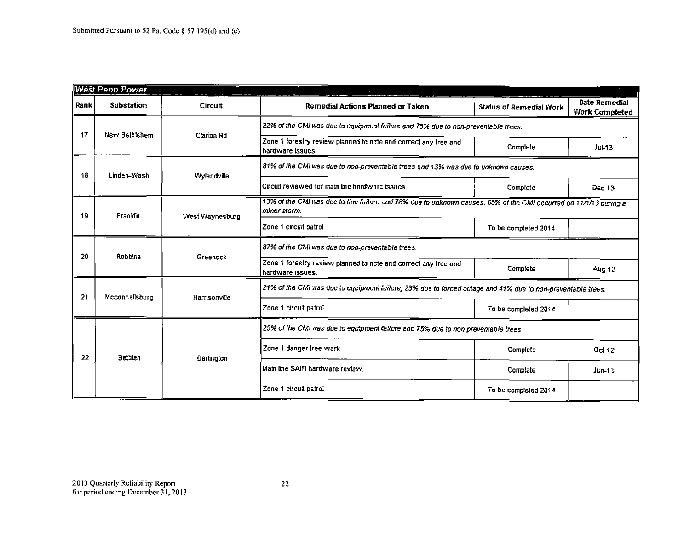|      | <b>West Penn Power</b> |                 |                                                                                                             |                                                                                                                   |                                        |  |  |  |  |
|------|------------------------|-----------------|-------------------------------------------------------------------------------------------------------------|-------------------------------------------------------------------------------------------------------------------|----------------------------------------|--|--|--|--|
| Rank | <b>Substation</b>      | <b>Circuit</b>  | Remedial Actions Planned or Taken                                                                           | <b>Status of Remedial Work</b>                                                                                    | Date Remedial<br><b>Work Completed</b> |  |  |  |  |
| 17   | New Bethlehem          |                 | 22% of the CMI was due to equipment failure and 75% due to non-preventable trees.                           |                                                                                                                   |                                        |  |  |  |  |
|      |                        | Clarion Rd      | Zone 1 forestry review planned to note and correct any tree and<br>hardware issues.                         | Complete                                                                                                          | <b>Jul-13</b>                          |  |  |  |  |
| 18   | Linden-Wash            | Wylandville     | 81% of the CMI was due to non-preventable trees and 13% was due to unknown causes.                          |                                                                                                                   |                                        |  |  |  |  |
|      |                        |                 | Circuit reviewed for main line hardware issues.                                                             | Complete                                                                                                          | $Dec-13$                               |  |  |  |  |
| 19   | Franklin               | West Waynesburg | minor storm.                                                                                                | 13% of the CMI was due to line failure and 78% due to unknown causes. 65% of the CMI occurred on 11/1/13 during a |                                        |  |  |  |  |
|      |                        |                 | Zone 1 circuit patrol                                                                                       | To be completed 2014                                                                                              |                                        |  |  |  |  |
| 20   | Robbins                | Greenock        | 87% of the CMI was due to non-preventable trees.                                                            |                                                                                                                   |                                        |  |  |  |  |
|      |                        |                 | Zone 1 forestry review planned to note and correct any tree and<br>hardware issues.                         | Complete                                                                                                          | $A$ ug-13                              |  |  |  |  |
| 21   | Mcconnellsburg         | Harrisonville   | 21% of the CMI was due to equipment failure, 23% due to forced outage and 41% due to non-preventable trees. |                                                                                                                   |                                        |  |  |  |  |
|      |                        |                 | Zone 1 circuit patrol                                                                                       | To be completed 2014                                                                                              |                                        |  |  |  |  |
|      |                        |                 | 25% of the CMI was due to equipment failure and 75% due to non-preventable trees.                           |                                                                                                                   |                                        |  |  |  |  |
| 22   | Bethlen                | Darlington      | Zone 1 danger tree work                                                                                     | Complete                                                                                                          | $0ct-12$                               |  |  |  |  |
|      |                        |                 | Main line SAIFI hardware review.                                                                            | Complete                                                                                                          | $Jun-13$                               |  |  |  |  |
|      |                        |                 | Zone 1 circuit patrol                                                                                       | To be completed 2014                                                                                              |                                        |  |  |  |  |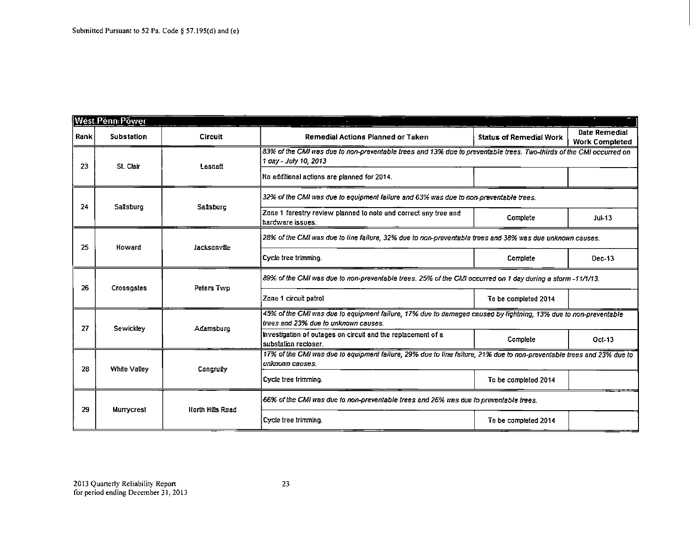|                 | West Penn Power   |                     |                                                                                                                                                         |                                |                                               |
|-----------------|-------------------|---------------------|---------------------------------------------------------------------------------------------------------------------------------------------------------|--------------------------------|-----------------------------------------------|
| Rank            | <b>Substation</b> | <b>Circuit</b>      | Remedial Actions Planned or Taken                                                                                                                       | <b>Status of Remedial Work</b> | <b>Date Remedial</b><br><b>Work Completed</b> |
| St. Clair<br>23 |                   | Lesnett             | 83% of the CMI was due to non-preventable trees and 13% due to oreventable trees. Two-thirds of the CMI occurred on<br>1 day - July 10, 2013            |                                |                                               |
|                 |                   |                     | No additional actions are planned for 2014.                                                                                                             |                                |                                               |
| 24              | Salisburg         | <b>Saltsburg</b>    | 32% of the CMI was due to equipment failure and 63% was due to non-preventable trees.                                                                   |                                |                                               |
|                 |                   |                     | Zone 1 forestry review planned to note and correct any tree and<br>hardware issues.                                                                     | Complete                       | $Ju$ -13                                      |
| 25              | Howard            | <b>Jacksonville</b> | 28% of the CMI was due to line failure, 32% due to non-preventable trees and 38% was due unknown causes.                                                |                                |                                               |
|                 |                   |                     | Cycle tree trimming.                                                                                                                                    | Complete                       | $Dec-13$                                      |
| 26              | Crossgates        | Peters Twp          | 89% of the CMI was due to non-preventable trees. 25% of the CMI occurred on 1 day during a storm -11/1/13.                                              |                                |                                               |
|                 |                   |                     | Zone 1 circuit patrol                                                                                                                                   | To be completed 2014           |                                               |
| 27              | Sewickley         | Adamsburg           | 45% of the CMI was due to equipment failure, 17% due to damaged caused by lightning, 13% due to non-preventable<br>trees and 23% due to unknown causes. |                                |                                               |
|                 |                   |                     | Investigation of outages on circuit and the replacement of a<br>substation recloser.                                                                    | Complete                       | Oct-13                                        |
| 28              | White Valley      | Concruity           | 17% of the CMI was due to equipment failure, 29% due to line failure, 21% due to non-preventable trees and 23% due to<br>unknown causes.                |                                |                                               |
|                 |                   |                     | Cycle tree trimming.                                                                                                                                    | To be completed 2014           |                                               |
| 29              | Murrycrest        | North Hills Road    | 66% of the CMI was due to non-preventable trees and 26% was due to preventable trees.                                                                   |                                |                                               |
|                 |                   |                     | Cycle tree trimming.                                                                                                                                    | To be completed 2014           |                                               |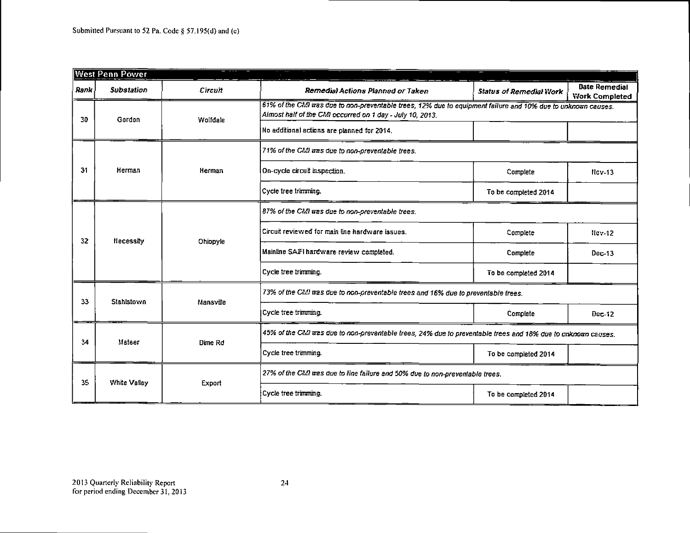|                 | <b>West Penn Power</b> |           |                                                                                                                                                                           |                                |                                               |  |
|-----------------|------------------------|-----------|---------------------------------------------------------------------------------------------------------------------------------------------------------------------------|--------------------------------|-----------------------------------------------|--|
| Rank,           | <b>Substation</b>      | Circuit   | Remedial Actions Planned or Taken                                                                                                                                         | <b>Status of Remedial Work</b> | <b>Date Remedial</b><br><b>Work Completed</b> |  |
| 30<br>Gordon    |                        | Wolfdale  | 61% of the CMI was due to non-preventable trees, 12% due to equipment failure and 10% due to unknown causes.<br>Almost half of the CMI occurred on 1 day - July 10, 2013. |                                |                                               |  |
|                 |                        |           | No additional actions are planned for 2014.                                                                                                                               |                                |                                               |  |
|                 | Herman                 | Herman    | 71% of the CMI was due to non-preventable trees.                                                                                                                          |                                |                                               |  |
| 31              |                        |           | On-cycle circuit inspection.                                                                                                                                              | Complete                       | Nov-13                                        |  |
|                 |                        |           | Cycle tree trimming.                                                                                                                                                      | To be completed 2014           |                                               |  |
|                 | Necessity              | Ohiopyle  | 87% of the CMI was due to non-preventable trees.                                                                                                                          |                                |                                               |  |
| 32 <sub>2</sub> |                        |           | Circuit reviewed for main line hardware issues.                                                                                                                           | Complete                       | Nov-12                                        |  |
|                 |                        |           | Mainline SAIFI hardware review completed.                                                                                                                                 | Complete                       | $Dec-13$                                      |  |
|                 |                        |           | Cycle tree trimming.                                                                                                                                                      | To be completed 2014           |                                               |  |
| 33.             | Stahlstown             | Mansville | 73% of the CMI was due to non-oreventable trees and 16% due to preventable trees.                                                                                         |                                |                                               |  |
|                 |                        |           | Cycle tree trimming.                                                                                                                                                      | Complete                       | Dec-12                                        |  |
| 34              | Mateer                 | Dime Rd   | 45% of the CMI was due to non-preventable trees, 24% due to preventable trees and 18% due to unknown causes.                                                              |                                |                                               |  |
|                 |                        |           | Cycle tree trimming.                                                                                                                                                      | To be completed 2014           |                                               |  |
| 35              | While Valley           | Export    | 27% of the CMI was due to line failure and 50% due to non-preventable trees.                                                                                              |                                |                                               |  |
|                 |                        |           | Cycle tree trimming.                                                                                                                                                      | To be completed 2014           |                                               |  |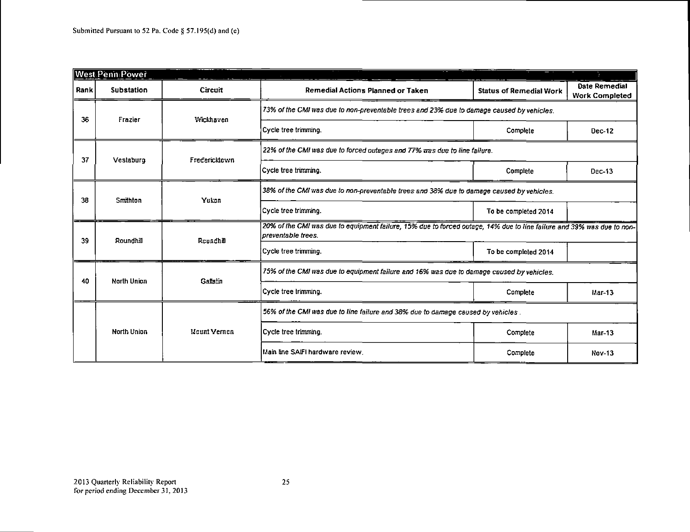| <b>West Penn Power</b><br>k. |             |               |                                                                                                                                              |                                |                                        |
|------------------------------|-------------|---------------|----------------------------------------------------------------------------------------------------------------------------------------------|--------------------------------|----------------------------------------|
| Rank                         | Substation  | Circuit       | Remedial Actions Planned or Taken                                                                                                            | <b>Status of Remedial Work</b> | Date Remedial<br><b>Work Completed</b> |
| 36                           | Frazier     | Verkhaven     | 73% of the CMI was due to non-preventable trees and 23% due to damage caused by vehicles.                                                    |                                |                                        |
|                              |             |               | Cycle tree trimming.                                                                                                                         | Complete                       | Dec-12                                 |
| 37                           | Vestaburg   | Fredericktown | 22% of the CMI was due to forced outages and 77% was due to line failure.                                                                    |                                |                                        |
|                              |             |               | Cycle tree trimming.                                                                                                                         | Complete                       | Dec-13                                 |
| 38                           | Smithton    | Yukon         | 38% of the CMI was due to non-preventable trees and 38% due to damage caused by vehicles.                                                    |                                |                                        |
|                              |             |               | Cycle tree trimming.                                                                                                                         | To be completed 2014           |                                        |
| 39                           | Roundhill   | Raundhill     | 20% of the CMI was due to equipment failure, 15% due to forced outage, 14% due to line failure and 39% was due to non-<br>oreventable trees. |                                |                                        |
|                              |             |               | Cycle tree trimming.                                                                                                                         | To be completed 2014           |                                        |
| 40                           | North Union | Galiatin      | 75% of the CMI was due to equipment failure and 16% was due to damage caused by vehicles.                                                    |                                |                                        |
|                              |             |               | Cycle tree trimming.                                                                                                                         | Complete                       | $Mar-13$                               |
|                              | North Union | Mount Vernon  | 56% of the CMI was due to line failure and 38% due to damage caused by vehicles.                                                             |                                |                                        |
|                              |             |               | Cycle tree trimming.                                                                                                                         | Complete                       | Mar-13                                 |
|                              |             |               | Main line SAIFI hardware review.                                                                                                             | Complete                       | <b>Nov-13</b>                          |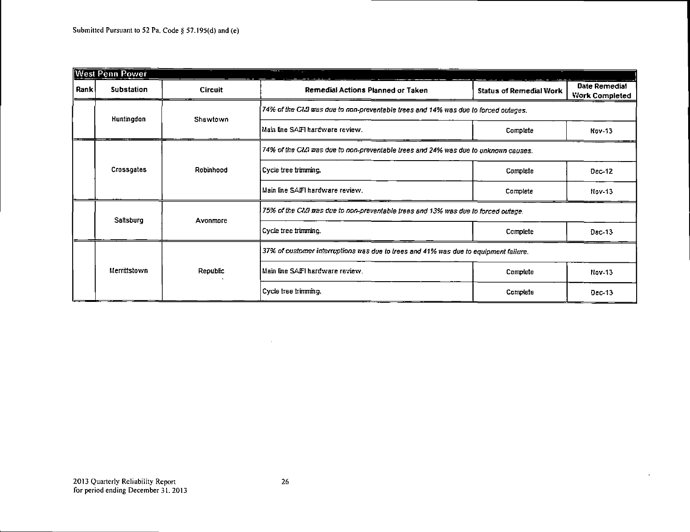|      | <b>West Penn Power</b> |                        |                                                                                    |                                                                                      |                                        |
|------|------------------------|------------------------|------------------------------------------------------------------------------------|--------------------------------------------------------------------------------------|----------------------------------------|
| Rank | Substation             | <b>Circuit</b>         | Remedial Actions Planned or Taken                                                  | <b>Status of Remedial Work</b>                                                       | Date Remedial<br><b>Work Completed</b> |
|      |                        | Huntingdon<br>Shawtown | 74% of the CMI was due to non-preventable trees and 14% was due to forced outages. |                                                                                      |                                        |
|      |                        |                        | Main line SAIFI hardware review.                                                   | Complete                                                                             | Nov-13                                 |
|      |                        |                        | 74% of the CMI was due to non-preventable trees and 24% was due to unknown causes. |                                                                                      |                                        |
|      | Crossgates             | Robinhood              | Cycle tree tranming.                                                               | Complete                                                                             | $Dec-12$                               |
|      |                        |                        | Hain line SAIFI hardware review.                                                   | Complete                                                                             | $Nov-13$                               |
|      | Saltsburg              | Avonmore               | 75% of the CMI was due to non-preventable trees and 13% was due to forced outage.  |                                                                                      |                                        |
|      |                        |                        | Cycle tree trimming.                                                               | Complete                                                                             | Dec-13                                 |
|      | Merrittstown           | <b>Republic</b>        |                                                                                    | 37% of costomer interruptions was due to trees and 41% was due to equipment failure. |                                        |
|      |                        |                        | I Main line SAIFI hardware review.                                                 | Complete                                                                             | <b>Nov-13</b>                          |
|      |                        |                        | Cycle tree trimming.                                                               | Complete                                                                             | Dec-13                                 |

 $\mathcal{L}$ 

n.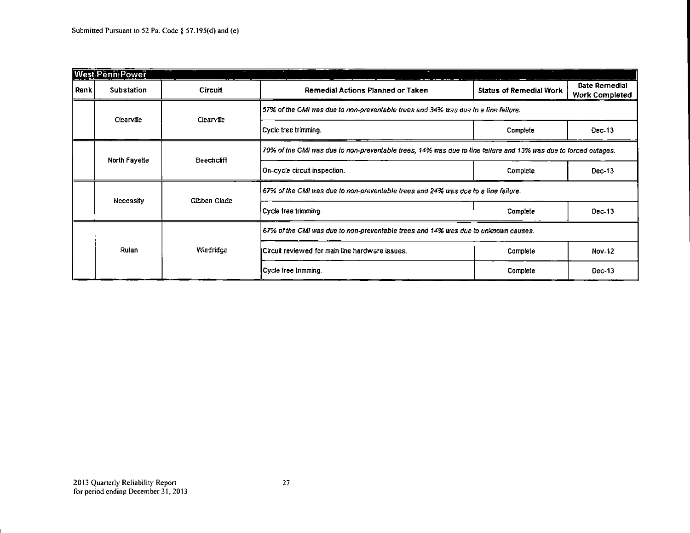|             | <b>West Penn Power</b>           |                           |                                                                                                                 |                                |                                        |  |
|-------------|----------------------------------|---------------------------|-----------------------------------------------------------------------------------------------------------------|--------------------------------|----------------------------------------|--|
| <b>Rank</b> | Substation                       | Circuit                   | Remedial Actions Planned or Taken                                                                               | <b>Status of Remedial Work</b> | Date Remedial<br><b>Work Completed</b> |  |
|             |                                  | Clear rille<br>Clearville | 57% of the CMI was due to non-preventable trees and 34% was due to a line failure.                              |                                |                                        |  |
|             |                                  |                           | Cycle tree trimming.                                                                                            | Complete                       | Dec-13                                 |  |
|             | North Fayette<br>Beechcliff      |                           | 70% of the CMI was due to non-preventable trees, 14% was due to line failure and 13% was due to forced outages. |                                |                                        |  |
|             |                                  |                           | On-cycle circuit inspection.                                                                                    | Complete                       | $Dec-13$                               |  |
|             | Gibbon Glade<br><b>Necessity</b> |                           | 67% of the CMI was due to non-preventable trees and 24% was due to a line failure.                              |                                |                                        |  |
|             |                                  |                           | Cycle tree trimming.                                                                                            | Complete                       | $Dec-13$                               |  |
|             |                                  | <b>Windridge</b>          | 67% of the CMI was due to non-preventable trees and 14% was due to unknown causes.                              |                                |                                        |  |
|             | Rutan                            |                           | l Circuit reviewed for main line hardware issues.                                                               | Complete                       | <b>Nov-12</b>                          |  |
|             |                                  |                           | Cycle tree trimming.                                                                                            | Complete                       | Dec-13                                 |  |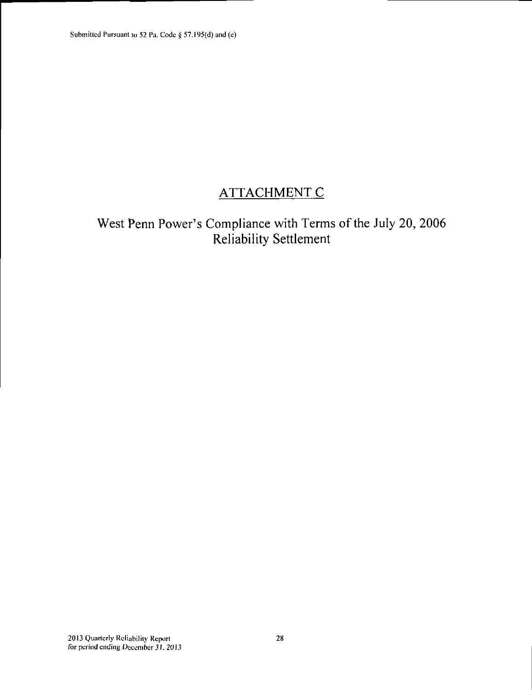# **ATTACHMENT C**

**West Penn Power's Compliance with Terms of the July 20, 2006 Reliability Settlement**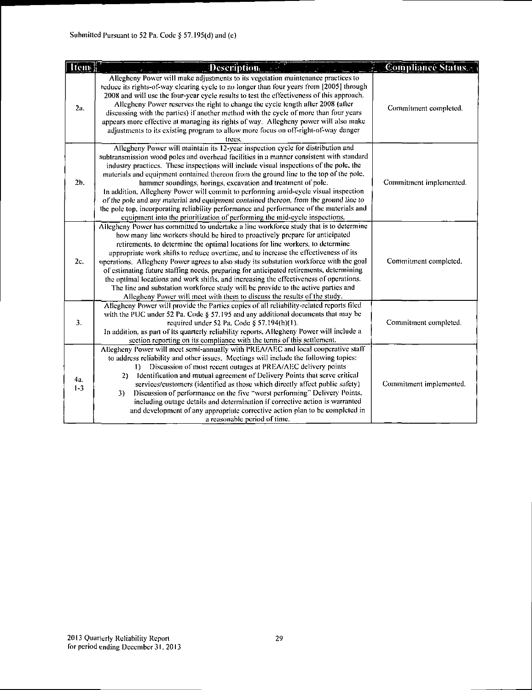| Item           | <b>Description</b>                                                                                                                                                                                                                                                                                                                                                                                                                                                                                                                                                                                                                                                                                                                                                                                | <b>Compliance Status</b> |
|----------------|---------------------------------------------------------------------------------------------------------------------------------------------------------------------------------------------------------------------------------------------------------------------------------------------------------------------------------------------------------------------------------------------------------------------------------------------------------------------------------------------------------------------------------------------------------------------------------------------------------------------------------------------------------------------------------------------------------------------------------------------------------------------------------------------------|--------------------------|
| 2a.            | Allegheny Power will make adjustments to its vegetation maintenance practices to<br>reduce its rights-of-way clearing cycle to no longer than four years from [2005] through<br>2008 and will use the four-year cycle results to test the effectiveness of this approach.<br>Allegheny Power reserves the right to change the cycle length after 2008 (after<br>discussing with the parties) if another method with the cycle of more than four years<br>appears more effective at managing its rights of way. Allegheny power will also make<br>adjustments to its existing program to allow more focus on off-right-of-way danger<br>trees.                                                                                                                                                     | Commitment completed.    |
| 2 <sub>b</sub> | Allegheny Power will maintain its 12-year inspection cycle for distribution and<br>subtransmission wood poles and overhead facilities in a manner consistent with standard<br>industry practices. These inspections will include visual inspections of the pole, the<br>materials and equipment contained thereon from the ground line to the top of the pole.<br>hammer soundings, borings, excavation and treatment of pole.<br>In addition, Allegheny Power will commit to performing amid-cycle visual inspection<br>of the pole and any material and equipment contained thereon, from the ground line to<br>the pole top, incorporating reliability performance and performance of the materials and<br>equipment into the prioritization of performing the mid-cycle inspections.          | Commitment implemented.  |
| 2c.            | Allegheny Power has committed to undertake a line workforce study that is to determine<br>how many line workers should be hired to proactively prepare for anticipated<br>retirements, to determine the optimal locations for line workers, to determine<br>appropriate work shifts to reduce overtime, and to increase the effectiveness of its<br>operations. Allegheny Power agrees to also study its substation workforce with the goal<br>of estimating future staffing needs, preparing for anticipated retirements, determining<br>the optimal locations and work shifts, and increasing the effectiveness of operations.<br>The line and substation workforce study will be provide to the active parties and<br>Allegheny Power will meet with them to discuss the results of the study. | Commitment completed.    |
| 3.             | Allegheny Power will provide the Parties copies of all reliability-related reports filed<br>with the PUC under 52 Pa. Code $\S$ 57,195 and any additional documents that may be<br>required under 52 Pa. Code $\S$ 57.194(h)(1).<br>In addition, as part of its quarterly reliability reports, Allegheny Power will include a<br>section reporting on its compliance with the terms of this settlement.                                                                                                                                                                                                                                                                                                                                                                                           | Commitment completed.    |
| 4a.<br>$1 - 3$ | Allegheny Power will meet semi-annually with PREA/AEC and local cooperative staff<br>to address reliability and other issues. Meetings will include the following topics:<br>Discussion of most recent outages at PREA/AEC delivery points<br>D.<br>Identification and mutual agreement of Delivery Points that serve critical<br>2)<br>services/customers (identified as those which directly affect public safety)<br>Discussion of performance on the five "worst performing" Delivery Points.<br>3)<br>including outage details and determination if corrective action is warranted<br>and development of any appropriate corrective action plan to be completed in<br>a reasonable period of time.                                                                                           | Commitment implemented.  |